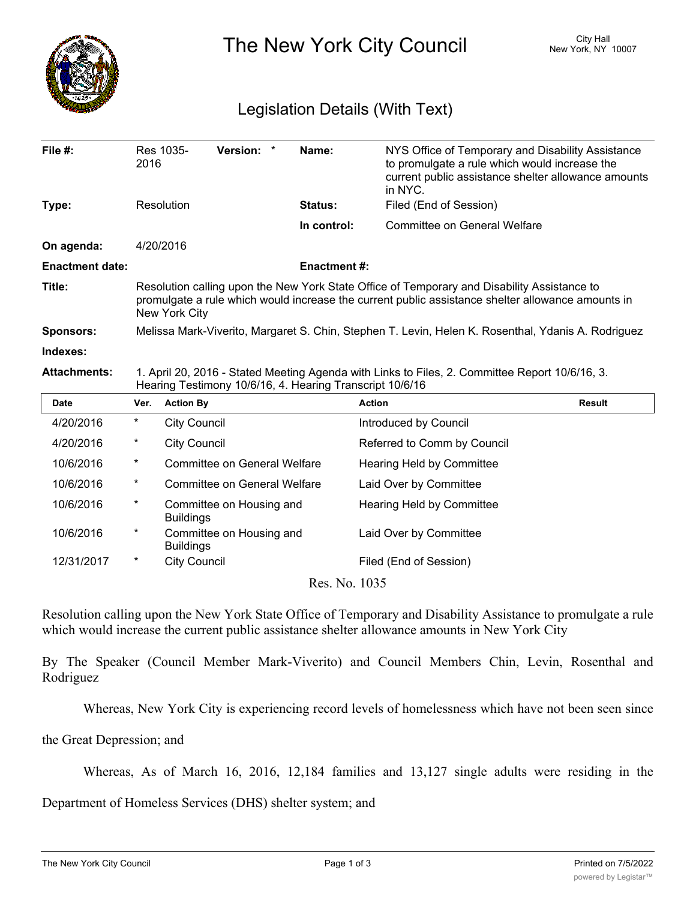

The New York City Council New York, NY 10007

## Legislation Details (With Text)

| File $#$ :             | 2016                                                                                                                                                                                                              | Res 1035-           | Version: *                          |  | Name:               | NYS Office of Temporary and Disability Assistance<br>to promulgate a rule which would increase the<br>current public assistance shelter allowance amounts<br>in NYC. |               |  |
|------------------------|-------------------------------------------------------------------------------------------------------------------------------------------------------------------------------------------------------------------|---------------------|-------------------------------------|--|---------------------|----------------------------------------------------------------------------------------------------------------------------------------------------------------------|---------------|--|
| Type:                  |                                                                                                                                                                                                                   | Resolution          |                                     |  | Status:             | Filed (End of Session)                                                                                                                                               |               |  |
|                        |                                                                                                                                                                                                                   |                     |                                     |  | In control:         | Committee on General Welfare                                                                                                                                         |               |  |
| On agenda:             |                                                                                                                                                                                                                   | 4/20/2016           |                                     |  |                     |                                                                                                                                                                      |               |  |
| <b>Enactment date:</b> |                                                                                                                                                                                                                   |                     |                                     |  | <b>Enactment #:</b> |                                                                                                                                                                      |               |  |
| Title:                 | Resolution calling upon the New York State Office of Temporary and Disability Assistance to<br>promulgate a rule which would increase the current public assistance shelter allowance amounts in<br>New York City |                     |                                     |  |                     |                                                                                                                                                                      |               |  |
| <b>Sponsors:</b>       | Melissa Mark-Viverito, Margaret S. Chin, Stephen T. Levin, Helen K. Rosenthal, Ydanis A. Rodriguez                                                                                                                |                     |                                     |  |                     |                                                                                                                                                                      |               |  |
| Indexes:               |                                                                                                                                                                                                                   |                     |                                     |  |                     |                                                                                                                                                                      |               |  |
| <b>Attachments:</b>    | 1. April 20, 2016 - Stated Meeting Agenda with Links to Files, 2. Committee Report 10/6/16, 3.<br>Hearing Testimony 10/6/16, 4. Hearing Transcript 10/6/16                                                        |                     |                                     |  |                     |                                                                                                                                                                      |               |  |
| Date                   | Ver.                                                                                                                                                                                                              | <b>Action By</b>    |                                     |  |                     | <b>Action</b>                                                                                                                                                        | <b>Result</b> |  |
| 4/20/2016              | $^\star$                                                                                                                                                                                                          | <b>City Council</b> |                                     |  |                     | Introduced by Council                                                                                                                                                |               |  |
| 4/20/2016              | $^\ast$                                                                                                                                                                                                           | <b>City Council</b> |                                     |  |                     | Referred to Comm by Council                                                                                                                                          |               |  |
| 10/6/2016              | $^\ast$                                                                                                                                                                                                           |                     | <b>Committee on General Welfare</b> |  |                     | Hearing Held by Committee                                                                                                                                            |               |  |
| 10/6/2016              | $^\star$                                                                                                                                                                                                          |                     | <b>Committee on General Welfare</b> |  |                     | Laid Over by Committee                                                                                                                                               |               |  |

| Date                                   | Ver.     | <b>Action By</b>                             | <b>Action</b>               | <b>Result</b> |  |  |  |  |
|----------------------------------------|----------|----------------------------------------------|-----------------------------|---------------|--|--|--|--|
| 4/20/2016                              | $^\star$ | <b>City Council</b>                          | Introduced by Council       |               |  |  |  |  |
| 4/20/2016                              | $\ast$   | <b>City Council</b>                          | Referred to Comm by Council |               |  |  |  |  |
| 10/6/2016                              | $\ast$   | Committee on General Welfare                 | Hearing Held by Committee   |               |  |  |  |  |
| 10/6/2016                              | $\ast$   | Committee on General Welfare                 | Laid Over by Committee      |               |  |  |  |  |
| 10/6/2016                              | $\ast$   | Committee on Housing and<br><b>Buildings</b> | Hearing Held by Committee   |               |  |  |  |  |
| 10/6/2016                              | $\ast$   | Committee on Housing and<br><b>Buildings</b> | Laid Over by Committee      |               |  |  |  |  |
| 12/31/2017                             | $\ast$   | <b>City Council</b>                          | Filed (End of Session)      |               |  |  |  |  |
| $D_{\text{max}}$ M <sub>a</sub> $1025$ |          |                                              |                             |               |  |  |  |  |

Res. No. 1035

Resolution calling upon the New York State Office of Temporary and Disability Assistance to promulgate a rule which would increase the current public assistance shelter allowance amounts in New York City

By The Speaker (Council Member Mark-Viverito) and Council Members Chin, Levin, Rosenthal and Rodriguez

Whereas, New York City is experiencing record levels of homelessness which have not been seen since

the Great Depression; and

Whereas, As of March 16, 2016, 12,184 families and 13,127 single adults were residing in the

Department of Homeless Services (DHS) shelter system; and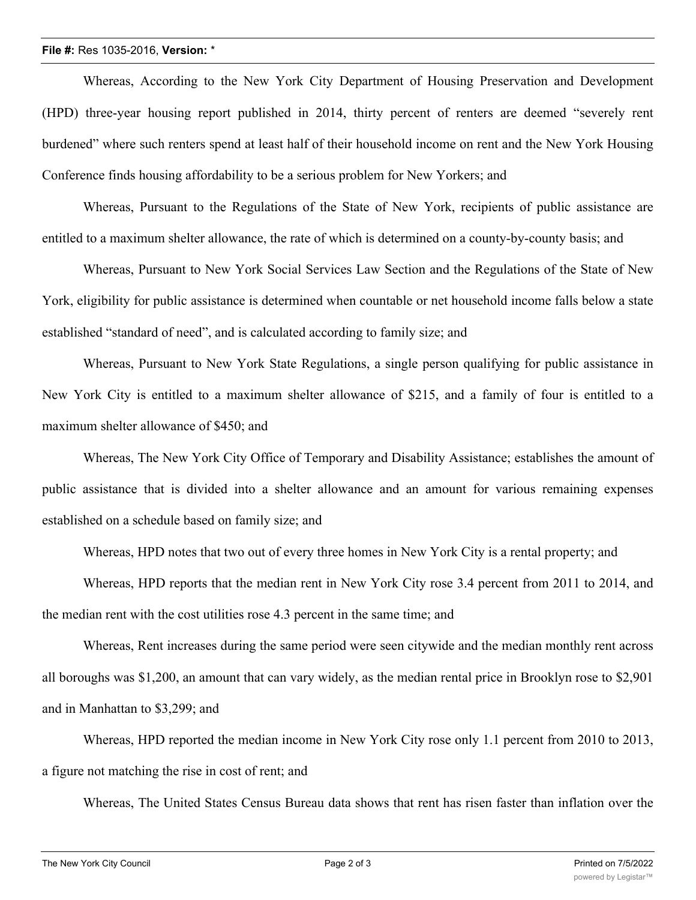## **File #:** Res 1035-2016, **Version:** \*

Whereas, According to the New York City Department of Housing Preservation and Development (HPD) three-year housing report published in 2014, thirty percent of renters are deemed "severely rent burdened" where such renters spend at least half of their household income on rent and the New York Housing Conference finds housing affordability to be a serious problem for New Yorkers; and

Whereas, Pursuant to the Regulations of the State of New York, recipients of public assistance are entitled to a maximum shelter allowance, the rate of which is determined on a county-by-county basis; and

Whereas, Pursuant to New York Social Services Law Section and the Regulations of the State of New York, eligibility for public assistance is determined when countable or net household income falls below a state established "standard of need", and is calculated according to family size; and

Whereas, Pursuant to New York State Regulations, a single person qualifying for public assistance in New York City is entitled to a maximum shelter allowance of \$215, and a family of four is entitled to a maximum shelter allowance of \$450; and

Whereas, The New York City Office of Temporary and Disability Assistance; establishes the amount of public assistance that is divided into a shelter allowance and an amount for various remaining expenses established on a schedule based on family size; and

Whereas, HPD notes that two out of every three homes in New York City is a rental property; and

Whereas, HPD reports that the median rent in New York City rose 3.4 percent from 2011 to 2014, and the median rent with the cost utilities rose 4.3 percent in the same time; and

Whereas, Rent increases during the same period were seen citywide and the median monthly rent across all boroughs was \$1,200, an amount that can vary widely, as the median rental price in Brooklyn rose to \$2,901 and in Manhattan to \$3,299; and

Whereas, HPD reported the median income in New York City rose only 1.1 percent from 2010 to 2013, a figure not matching the rise in cost of rent; and

Whereas, The United States Census Bureau data shows that rent has risen faster than inflation over the